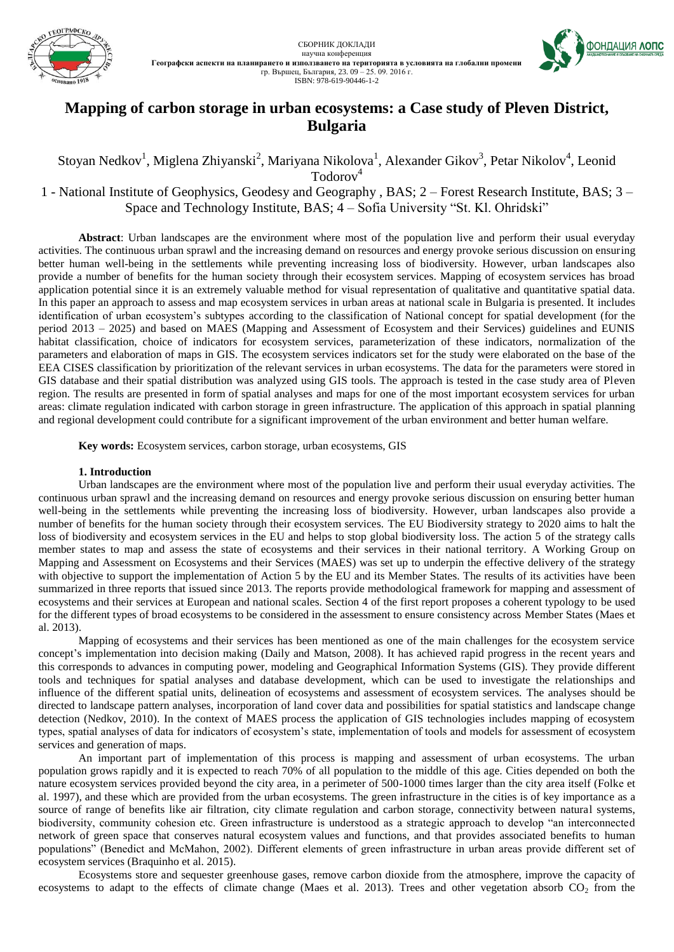



# **Mapping of carbon storage in urban ecosystems: a Case study of Pleven District, Bulgaria**

Stoyan Nedkov<sup>1</sup>, Miglena Zhiyanski<sup>2</sup>, Mariyana Nikolova<sup>1</sup>, Alexander Gikov<sup>3</sup>, Petar Nikolov<sup>4</sup>, Leonid Todorov<sup>4</sup>

1 - National Institute of Geophysics, Geodesy and Geography , BAS; 2 – Forest Research Institute, BAS; 3 – Space and Technology Institute, BAS; 4 – Sofia University "St. Kl. Ohridski"

**Abstract**: Urban landscapes are the environment where most of the population live and perform their usual everyday activities. The continuous urban sprawl and the increasing demand on resources and energy provoke serious discussion on ensuring better human well-being in the settlements while preventing increasing loss of biodiversity. However, urban landscapes also provide a number of benefits for the human society through their ecosystem services. Mapping of ecosystem services has broad application potential since it is an extremely valuable method for visual representation of qualitative and quantitative spatial data. In this paper an approach to assess and map ecosystem services in urban areas at national scale in Bulgaria is presented. It includes identification of urban ecosystem's subtypes according to the classification of National concept for spatial development (for the period 2013 – 2025) and based on MAES (Mapping and Assessment of Ecosystem and their Services) guidelines and EUNIS habitat classification, choice of indicators for ecosystem services, parameterization of these indicators, normalization of the parameters and elaboration of maps in GIS. The ecosystem services indicators set for the study were elaborated on the base of the EEA CISES classification by prioritization of the relevant services in urban ecosystems. The data for the parameters were stored in GIS database and their spatial distribution was analyzed using GIS tools. The approach is tested in the case study area of Pleven region. The results are presented in form of spatial analyses and maps for one of the most important ecosystem services for urban areas: climate regulation indicated with carbon storage in green infrastructure. The application of this approach in spatial planning and regional development could contribute for a significant improvement of the urban environment and better human welfare.

**Key words:** Ecosystem services, carbon storage, urban ecosystems, GIS

## **1. Introduction**

Urban landscapes are the environment where most of the population live and perform their usual everyday activities. The continuous urban sprawl and the increasing demand on resources and energy provoke serious discussion on ensuring better human well-being in the settlements while preventing the increasing loss of biodiversity. However, urban landscapes also provide a number of benefits for the human society through their ecosystem services. The EU Biodiversity strategy to 2020 aims to halt the loss of biodiversity and ecosystem services in the EU and helps to stop global biodiversity loss. The action 5 of the strategy calls member states to map and assess the state of ecosystems and their services in their national territory. A Working Group on Mapping and Assessment on Ecosystems and their Services (MAES) was set up to underpin the effective delivery of the strategy with objective to support the implementation of Action 5 by the EU and its Member States. The results of its activities have been summarized in three reports that issued since 2013. The reports provide methodological framework for mapping and assessment of ecosystems and their services at European and national scales. Section 4 of the first report proposes a coherent typology to be used for the different types of broad ecosystems to be considered in the assessment to ensure consistency across Member States (Maes et al. 2013).

Mapping of ecosystems and their services has been mentioned as one of the main challenges for the ecosystem service concept's implementation into decision making (Daily and Matson, 2008). It has achieved rapid progress in the recent years and this corresponds to advances in computing power, modeling and Geographical Information Systems (GIS). They provide different tools and techniques for spatial analyses and database development, which can be used to investigate the relationships and influence of the different spatial units, delineation of ecosystems and assessment of ecosystem services. The analyses should be directed to landscape pattern analyses, incorporation of land cover data and possibilities for spatial statistics and landscape change detection (Nedkov, 2010). In the context of MAES process the application of GIS technologies includes mapping of ecosystem types, spatial analyses of data for indicators of ecosystem's state, implementation of tools and models for assessment of ecosystem services and generation of maps.

An important part of implementation of this process is mapping and assessment of urban ecosystems. The urban population grows rapidly and it is expected to reach 70% of all population to the middle of this age. Cities depended on both the nature ecosystem services provided beyond the city area, in a perimeter of 500-1000 times larger than the city area itself (Folkе et al. 1997), and these which are provided from the urban ecosystems. The green infrastructure in the cities is of key importance as a source of range of benefits like air filtration, city climate regulation and carbon storage, connectivity between natural systems, biodiversity, community cohesion etc. Green infrastructure is understood as a strategic approach to develop "an interconnected network of green space that conserves natural ecosystem values and functions, and that provides associated benefits to human populations" (Benedict and McMahon, 2002). Different elements of green infrastructure in urban areas provide different set of ecosystem services (Braquinho et al. 2015).

Ecosystems store and sequester greenhouse gases, remove carbon dioxide from the atmosphere, improve the capacity of ecosystems to adapt to the effects of climate change (Maes et al. 2013). Trees and other vegetation absorb  $CO<sub>2</sub>$  from the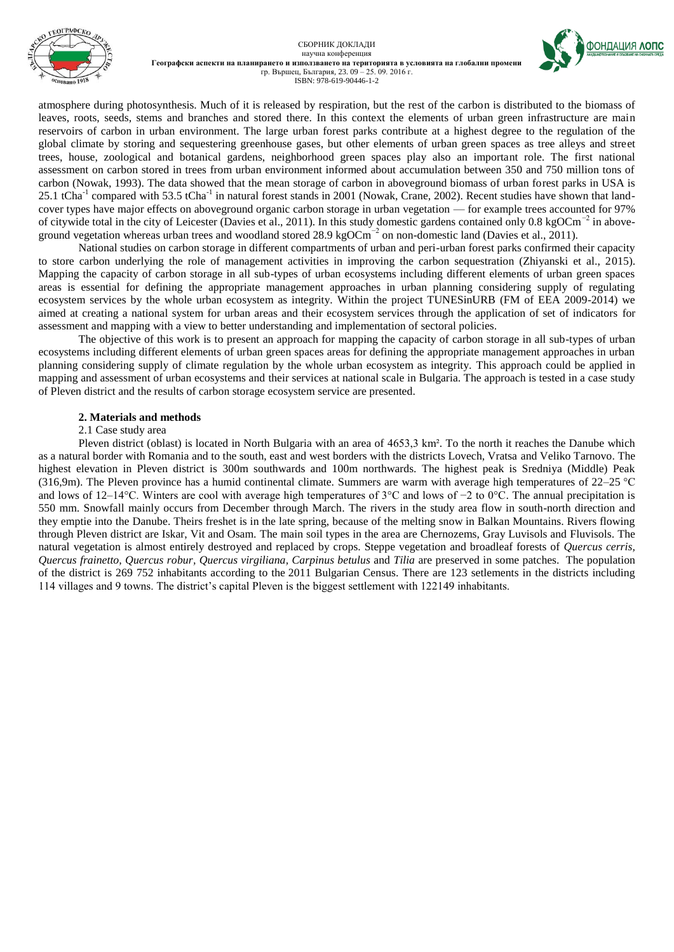



**OOHDALIMA AONC** 

atmosphere during photosynthesis. Much of it is released by respiration, but the rest of the carbon is distributed to the biomass of leaves, roots, seeds, stems and branches and stored there. In this context the elements of urban green infrastructure are main reservoirs of carbon in urban environment. The large urban forest parks contribute at a highest degree to the regulation of the global climate by storing and sequestering greenhouse gases, but other elements of urban green spaces as tree alleys and street trees, house, zoological and botanical gardens, neighborhood green spaces play also an important role. The first national assessment on carbon stored in trees from urban environment informed about accumulation between 350 and 750 million tons of carbon (Nowak, 1993). The data showed that the mean storage of carbon in aboveground biomass of urban forest parks in USA is 25.1 tCha<sup>-1</sup> compared with 53.5 tCha<sup>-1</sup> in natural forest stands in 2001 (Nowak, Crane, 2002). Recent studies have shown that landcover types have major effects on aboveground organic carbon storage in urban vegetation — for example trees accounted for 97% of citywide total in the city of Leicester (Davies et al., 2011). In this study domestic gardens contained only 0.8 kgOCm<sup>-2</sup> in aboveground vegetation whereas urban trees and woodland stored 28.9 kgOCm<sup>-2</sup> on non-domestic land (Davies et al., 2011).

National studies on carbon storage in different compartments of urban and peri-urban forest parks confirmed their capacity to store carbon underlying the role of management activities in improving the carbon sequestration (Zhiyanski et al., 2015). Mapping the capacity of carbon storage in all sub-types of urban ecosystems including different elements of urban green spaces areas is essential for defining the appropriate management approaches in urban planning considering supply of regulating ecosystem services by the whole urban ecosystem as integrity. Within the project TUNESinURB (FM of EEA 2009-2014) we aimed at creating a national system for urban areas and their ecosystem services through the application of set of indicators for assessment and mapping with a view to better understanding and implementation of sectoral policies.

The objective of this work is to present an approach for mapping the capacity of carbon storage in all sub-types of urban ecosystems including different elements of urban green spaces areas for defining the appropriate management approaches in urban planning considering supply of climate regulation by the whole urban ecosystem as integrity. This approach could be applied in mapping and assessment of urban ecosystems and their services at national scale in Bulgaria. The approach is tested in a case study of Pleven district and the results of carbon storage ecosystem service are presented.

### **2. Materials and methods**

#### 2.1 Case study area

Pleven district (oblast) is located in North Bulgaria with an area of 4653,3 km². To the north it reaches the Danube which as a natural border with Romania and to the south, east and west borders with the districts Lovech, Vratsa and Veliko Tarnovo. The highest elevation in Pleven district is 300m southwards and 100m northwards. The highest peak is Sredniya (Middle) Peak (316,9m). The Pleven province has a humid continental climate. Summers are warm with average high temperatures of 22–25 °C and lows of 12–14°C. Winters are cool with average high temperatures of 3°C and lows of −2 to 0°C. The annual precipitation is 550 mm. Snowfall mainly occurs from December through March. The rivers in the study area flow in south-north direction and they emptie into the Danube. Theirs freshet is in the late spring, because of the melting snow in Balkan Mountains. Rivers flowing through Pleven district are Iskar, Vit and Osam. The main soil types in the area are Chernozems, Gray Luvisols and Fluvisols. The natural vegetation is almost entirely destroyed and replaced by crops. Steppe vegetation and broadleaf forests of *Quercus cerris, Quercus frainetto, Quercus robur, Quercus virgiliana, Carpinus betulus* and *Tilia* are preserved in some patches. The population of the district is 269 752 inhabitants according to the 2011 Bulgarian Census. There are 123 setlements in the districts including 114 villages and 9 towns. The district's capital Pleven is the biggest settlement with 122149 inhabitants.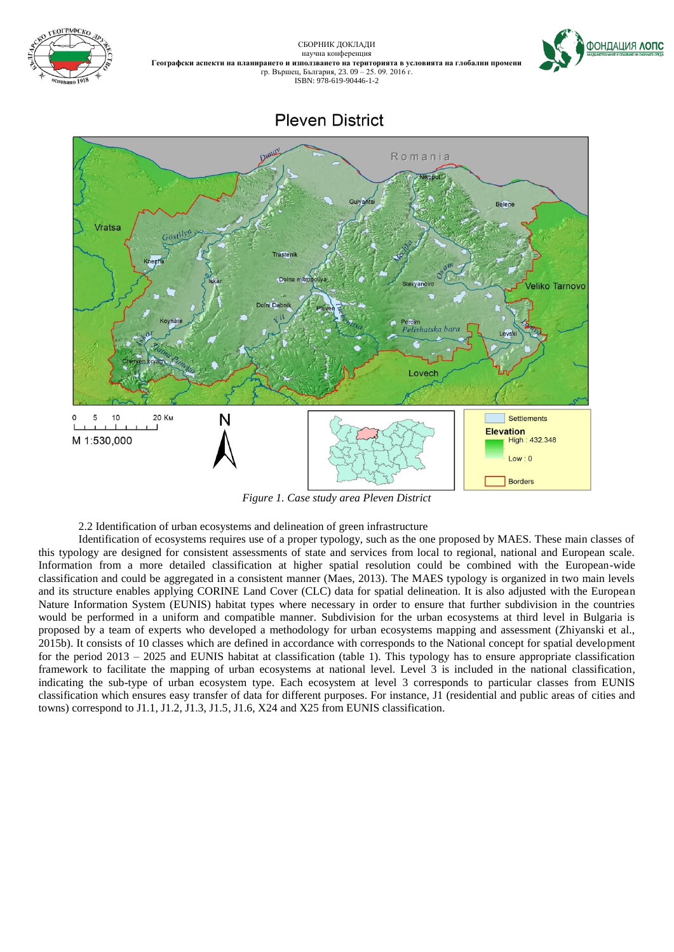

СБОРНИК ДОКЛАДИ научна конференция **Географски аспекти на планирането и използването на територията в условията на глобални промени** **ФОНДАЦИЯ ЛОПС** 

*Figure 1. Case study area Pleven District*

2.2 Identification of urban ecosystems and delineation of green infrastructure

Identification of ecosystems requires use of a proper typology, such as the one proposed by MAES. These main classes of this typology are designed for consistent assessments of state and services from local to regional, national and European scale. Information from a more detailed classification at higher spatial resolution could be combined with the European-wide classification and could be aggregated in a consistent manner (Maes, 2013). The MAES typology is organized in two main levels and its structure enables applying CORINE Land Cover (CLC) data for spatial delineation. It is also adjusted with the European Nature Information System (EUNIS) habitat types where necessary in order to ensure that further subdivision in the countries would be performed in a uniform and compatible manner. Subdivision for the urban ecosystems at third level in Bulgaria is proposed by a team of experts who developed a methodology for urban ecosystems mapping and assessment (Zhiyanski et al., 2015b). It consists of 10 classes which are defined in accordance with corresponds to the National concept for spatial development for the period 2013 – 2025 and EUNIS habitat at classification (table 1). This typology has to ensure appropriate classification framework to facilitate the mapping of urban ecosystems at national level. Level 3 is included in the national classification, indicating the sub-type of urban ecosystem type. Each ecosystem at level 3 corresponds to particular classes from EUNIS classification which ensures easy transfer of data for different purposes. For instance, J1 (residential and public areas of cities and towns) correspond to J1.1, J1.2, J1.3, J1.5, J1.6, X24 and X25 from EUNIS classification.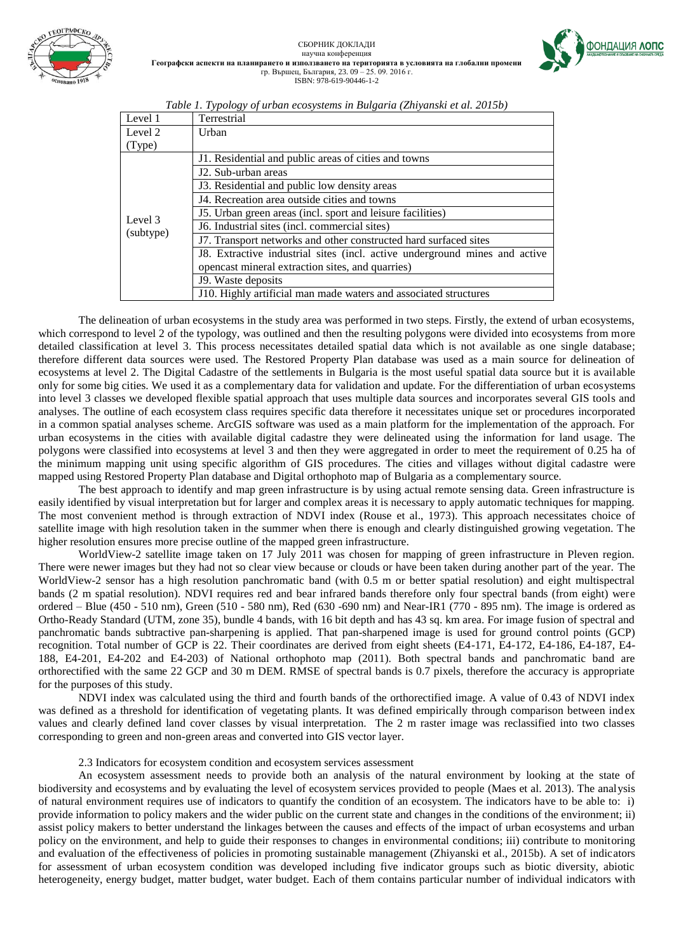

СБОРНИК ДОКЛАДИ научна конференция **Географски аспекти на планирането и използването на територията в условията на глобални промени** гр. Вършец, България, 23. 09 – 25. 09. 2016 г. ISBN: 978-619-90446-1-2



| Level 1   | Terrestrial                                                                |
|-----------|----------------------------------------------------------------------------|
| Level 2   | Urban                                                                      |
| (Type)    |                                                                            |
|           | J1. Residential and public areas of cities and towns                       |
|           | J <sub>2</sub> . Sub-urban areas                                           |
|           | J3. Residential and public low density areas                               |
|           | J4. Recreation area outside cities and towns                               |
| Level 3   | 15. Urban green areas (incl. sport and leisure facilities)                 |
| (subtype) | J6. Industrial sites (incl. commercial sites)                              |
|           | J7. Transport networks and other constructed hard surfaced sites           |
|           | J8. Extractive industrial sites (incl. active underground mines and active |
|           | opencast mineral extraction sites, and quarries)                           |
|           | J. Waste deposits                                                          |
|           | J10. Highly artificial man made waters and associated structures           |

*Table 1. Typology of urban ecosystems in Bulgaria (Zhiyanski et al. 2015b)*

The delineation of urban ecosystems in the study area was performed in two steps. Firstly, the extend of urban ecosystems, which correspond to level 2 of the typology, was outlined and then the resulting polygons were divided into ecosystems from more detailed classification at level 3. This process necessitates detailed spatial data which is not available as one single database; therefore different data sources were used. The Restored Property Plan database was used as a main source for delineation of ecosystems at level 2. The Digital Cadastre of the settlements in Bulgaria is the most useful spatial data source but it is available only for some big cities. We used it as a complementary data for validation and update. For the differentiation of urban ecosystems into level 3 classes we developed flexible spatial approach that uses multiple data sources and incorporates several GIS tools and analyses. The outline of each ecosystem class requires specific data therefore it necessitates unique set or procedures incorporated in a common spatial analyses scheme. ArcGIS software was used as a main platform for the implementation of the approach. For urban ecosystems in the cities with available digital cadastre they were delineated using the information for land usage. The polygons were classified into ecosystems at level 3 and then they were aggregated in order to meet the requirement of 0.25 ha of the minimum mapping unit using specific algorithm of GIS procedures. The cities and villages without digital cadastre were mapped using Restored Property Plan database and Digital orthophoto map of Bulgaria as a complementary source.

The best approach to identify and map green infrastructure is by using actual remote sensing data. Green infrastructure is easily identified by visual interpretation but for larger and complex areas it is necessary to apply automatic techniques for mapping. The most convenient method is through extraction of NDVI index (Rouse et al., 1973). This approach necessitates choice of satellite image with high resolution taken in the summer when there is enough and clearly distinguished growing vegetation. The higher resolution ensures more precise outline of the mapped green infrastructure.

WorldView-2 satellite image taken on 17 July 2011 was chosen for mapping of green infrastructure in Pleven region. There were newer images but they had not so clear view because or clouds or have been taken during another part of the year. The WorldView-2 sensor has a high resolution panchromatic band (with 0.5 m or better spatial resolution) and eight multispectral bands (2 m spatial resolution). NDVI requires red and bear infrared bands therefore only four spectral bands (from eight) were ordered – Blue (450 - 510 nm), Green (510 - 580 nm), Red (630 -690 nm) and Near-IR1 (770 - 895 nm). The image is ordered as Ortho-Ready Standard (UTM, zone 35), bundle 4 bands, with 16 bit depth and has 43 sq. km area. For image fusion of spectral and panchromatic bands subtractive pan-sharpening is applied. That pan-sharpened image is used for ground control points (GCP) recognition. Total number of GCP is 22. Their coordinates are derived from eight sheets (E4-171, E4-172, E4-186, E4-187, E4- 188, E4-201, E4-202 and E4-203) of National orthophoto map (2011). Both spectral bands and panchromatic band are orthorectified with the same 22 GCP and 30 m DEM. RMSE of spectral bands is 0.7 pixels, therefore the accuracy is appropriate for the purposes of this study.

NDVI index was calculated using the third and fourth bands of the orthorectified image. A value of 0.43 of NDVI index was defined as a threshold for identification of vegetating plants. It was defined empirically through comparison between index values and clearly defined land cover classes by visual interpretation. The 2 m raster image was reclassified into two classes corresponding to green and non-green areas and converted into GIS vector layer.

# 2.3 Indicators for ecosystem condition and ecosystem services assessment

An ecosystem assessment needs to provide both an analysis of the natural environment by looking at the state of biodiversity and ecosystems and by evaluating the level of ecosystem services provided to people (Maes et al. 2013). The analysis of natural environment requires use of indicators to quantify the condition of an ecosystem. The indicators have to be able to: i) provide information to policy makers and the wider public on the current state and changes in the conditions of the environment; ii) assist policy makers to better understand the linkages between the causes and effects of the impact of urban ecosystems and urban policy on the environment, and help to guide their responses to changes in environmental conditions; iii) contribute to monitoring and evaluation of the effectiveness of policies in promoting sustainable management (Zhiyanski et al., 2015b). A set of indicators for assessment of urban ecosystem condition was developed including five indicator groups such as biotic diversity, abiotic heterogeneity, energy budget, matter budget, water budget. Each of them contains particular number of individual indicators with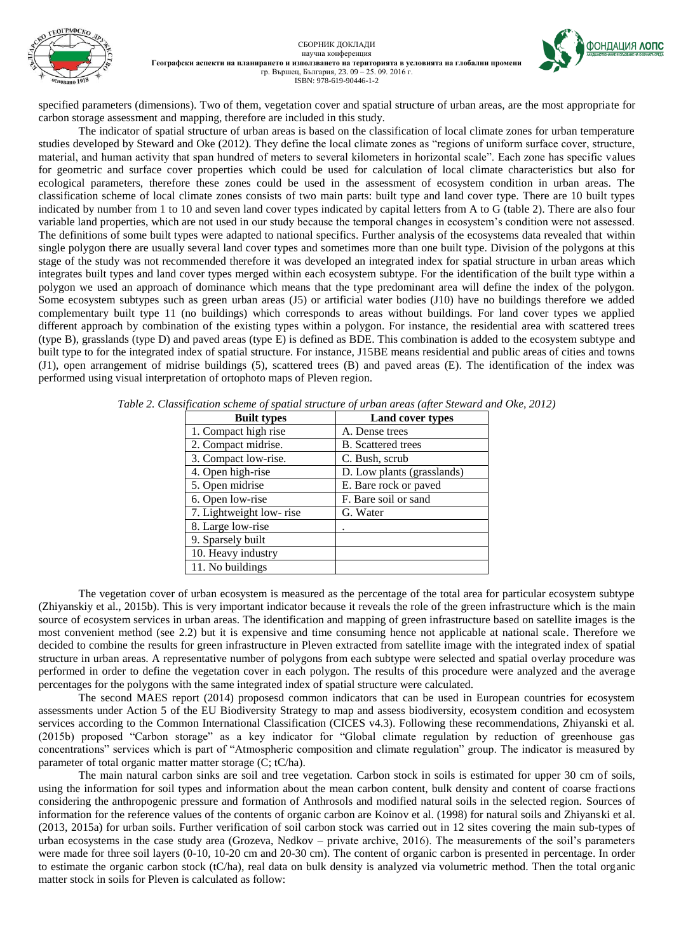

specified parameters (dimensions). Two of them, vegetation cover and spatial structure of urban areas, are the most appropriate for carbon storage assessment and mapping, therefore are included in this study.

The indicator of spatial structure of urban areas is based on the classification of local climate zones for urban temperature studies developed by Steward and Oke (2012). They define the local climate zones as "regions of uniform surface cover, structure, material, and human activity that span hundred of meters to several kilometers in horizontal scale". Each zone has specific values for geometric and surface cover properties which could be used for calculation of local climate characteristics but also for ecological parameters, therefore these zones could be used in the assessment of ecosystem condition in urban areas. The classification scheme of local climate zones consists of two main parts: built type and land cover type. There are 10 built types indicated by number from 1 to 10 and seven land cover types indicated by capital letters from A to G (table 2). There are also four variable land properties, which are not used in our study because the temporal changes in ecosystem's condition were not assessed. The definitions of some built types were adapted to national specifics. Further analysis of the ecosystems data revealed that within single polygon there are usually several land cover types and sometimes more than one built type. Division of the polygons at this stage of the study was not recommended therefore it was developed an integrated index for spatial structure in urban areas which integrates built types and land cover types merged within each ecosystem subtype. For the identification of the built type within a polygon we used an approach of dominance which means that the type predominant area will define the index of the polygon. Some ecosystem subtypes such as green urban areas (J5) or artificial water bodies (J10) have no buildings therefore we added complementary built type 11 (no buildings) which corresponds to areas without buildings. For land cover types we applied different approach by combination of the existing types within a polygon. For instance, the residential area with scattered trees (type B), grasslands (type D) and paved areas (type E) is defined as BDE. This combination is added to the ecosystem subtype and built type to for the integrated index of spatial structure. For instance, J15BE means residential and public areas of cities and towns (J1), open arrangement of midrise buildings (5), scattered trees (B) and paved areas (E). The identification of the index was performed using visual interpretation of ortophoto maps of Pleven region.

| <b>Built types</b>      | <b>Land cover types</b>    |  |  |  |  |
|-------------------------|----------------------------|--|--|--|--|
| 1. Compact high rise    | A. Dense trees             |  |  |  |  |
| 2. Compact midrise.     | <b>B.</b> Scattered trees  |  |  |  |  |
| 3. Compact low-rise.    | C. Bush, scrub             |  |  |  |  |
| 4. Open high-rise       | D. Low plants (grasslands) |  |  |  |  |
| 5. Open midrise         | E. Bare rock or paved      |  |  |  |  |
| 6. Open low-rise        | F. Bare soil or sand       |  |  |  |  |
| 7. Lightweight low-rise | G. Water                   |  |  |  |  |
| 8. Large low-rise       |                            |  |  |  |  |
| 9. Sparsely built       |                            |  |  |  |  |
| 10. Heavy industry      |                            |  |  |  |  |
| 11. No buildings        |                            |  |  |  |  |
|                         |                            |  |  |  |  |

*Table 2. Classification scheme of spatial structure of urban areas (after Steward and Oke, 2012)*

The vegetation cover of urban ecosystem is measured as the percentage of the total area for particular ecosystem subtype (Zhiyanskiy et al., 2015b). This is very important indicator because it reveals the role of the green infrastructure which is the main source of ecosystem services in urban areas. The identification and mapping of green infrastructure based on satellite images is the most convenient method (see 2.2) but it is expensive and time consuming hence not applicable at national scale. Therefore we decided to combine the results for green infrastructure in Pleven extracted from satellite image with the integrated index of spatial structure in urban areas. A representative number of polygons from each subtype were selected and spatial overlay procedure was performed in order to define the vegetation cover in each polygon. The results of this procedure were analyzed and the average percentages for the polygons with the same integrated index of spatial structure were calculated.

The second MAES report (2014) proposesd common indicators that can be used in European countries for ecosystem assessments under Action 5 of the EU Biodiversity Strategy to map and assess biodiversity, ecosystem condition and ecosystem services according to the Common International Classification (CICES v4.3). Following these recommendations, Zhiyanski et al. (2015b) proposed "Carbon storage" as a key indicator for "Global climate regulation by reduction of greenhouse gas concentrations" services which is part of "Atmospheric composition and climate regulation" group. The indicator is measured by parameter of total organic matter matter storage (C; tC/ha).

The main natural carbon sinks are soil and tree vegetation. Carbon stock in soils is estimated for upper 30 cm of soils, using the information for soil types and information about the mean carbon content, bulk density and content of coarse fractions considering the anthropogenic pressure and formation of Anthrosols and modified natural soils in the selected region. Sources of information for the reference values of the contents of organic carbon are Koinov et al. (1998) for natural soils and Zhiyanski et al. (2013, 2015a) for urban soils. Further verification of soil carbon stock was carried out in 12 sites covering the main sub-types of urban ecosystems in the case study area (Grozeva, Nedkov – private archive, 2016). The measurements of the soil's parameters were made for three soil layers (0-10, 10-20 cm and 20-30 cm). The content of organic carbon is presented in percentage. In order to estimate the organic carbon stock (tC/ha), real data on bulk density is analyzed via volumetric method. Then the total organic matter stock in soils for Pleven is calculated as follow: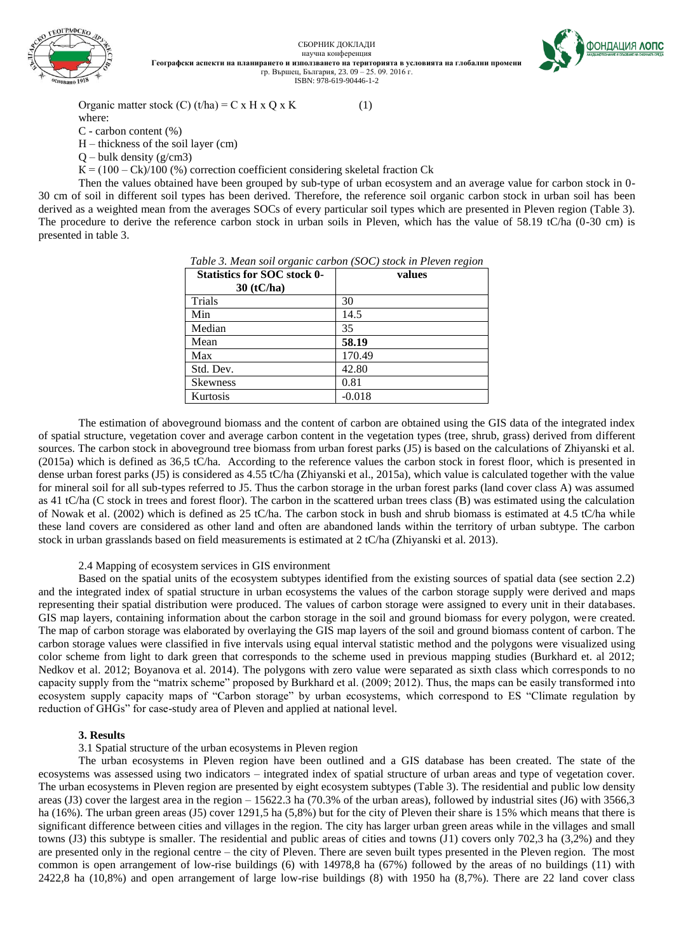

СБОРНИК ДОКЛАДИ научна конференция **Географски аспекти на планирането и използването на територията в условията на глобални промени** гр. Вършец, България, 23. 09 – 25. 09. 2016 г. ISBN: 978-619-90446-1-2



Organic matter stock  $(C)$  (t/ha) = C x H x Q x K (1)

where:

C - carbon content (%)

Н – thickness of the soil layer (cm)

 $Q$  – bulk density ( $g/cm3$ )

 $K = (100 - Ck)/100$  (%) correction coefficient considering skeletal fraction Ck

Then the values obtained have been grouped by sub-type of urban ecosystem and an average value for carbon stock in 0- 30 cm of soil in different soil types has been derived. Therefore, the reference soil organic carbon stock in urban soil has been derived as a weighted mean from the averages SOCs of every particular soil types which are presented in Pleven region (Table 3). The procedure to derive the reference carbon stock in urban soils in Pleven, which has the value of 58.19 tC/ha (0-30 cm) is presented in table 3.

| Table 3. Mean soil organic carbon (SOC) stock in Pleven region |        |  |  |  |  |
|----------------------------------------------------------------|--------|--|--|--|--|
| <b>Statistics for SOC stock 0-</b>                             | values |  |  |  |  |
| $20(40h_0)$                                                    |        |  |  |  |  |

| Statistics for SOC stock 0-<br>$30$ (tC/ha) | values   |
|---------------------------------------------|----------|
| Trials                                      | 30       |
| Min                                         | 14.5     |
| Median                                      | 35       |
| Mean                                        | 58.19    |
| Max                                         | 170.49   |
| Std. Dev.                                   | 42.80    |
| <b>Skewness</b>                             | 0.81     |
| Kurtosis                                    | $-0.018$ |
|                                             |          |

The estimation of aboveground biomass and the content of carbon are obtained using the GIS data of the integrated index of spatial structure, vegetation cover and average carbon content in the vegetation types (tree, shrub, grass) derived from different sources. The carbon stock in aboveground tree biomass from urban forest parks (J5) is based on the calculations of Zhiyanski et al. (2015a) which is defined as 36,5 tC/ha. According to the reference values the carbon stock in forest floor, which is presented in dense urban forest parks (J5) is considered as 4.55 tC/ha (Zhiyanski et al., 2015a), which value is calculated together with the value for mineral soil for all sub-types referred to J5. Thus the carbon storage in the urban forest parks (land cover class A) was assumed as 41 tC/ha (C stock in trees and forest floor). The carbon in the scattered urban trees class (B) was estimated using the calculation of Nowak et al. (2002) which is defined as 25 tC/ha. The carbon stock in bush and shrub biomass is estimated at 4.5 tC/ha while these land covers are considered as other land and often are abandoned lands within the territory of urban subtype. The carbon stock in urban grasslands based on field measurements is estimated at 2 tC/ha (Zhiyanski et al. 2013).

## 2.4 Mapping of ecosystem services in GIS environment

Based on the spatial units of the ecosystem subtypes identified from the existing sources of spatial data (see section 2.2) and the integrated index of spatial structure in urban ecosystems the values of the carbon storage supply were derived and maps representing their spatial distribution were produced. The values of carbon storage were assigned to every unit in their databases. GIS map layers, containing information about the carbon storage in the soil and ground biomass for every polygon, were created. The map of carbon storage was elaborated by overlaying the GIS map layers of the soil and ground biomass content of carbon. The carbon storage values were classified in five intervals using equal interval statistic method and the polygons were visualized using color scheme from light to dark green that corresponds to the scheme used in previous mapping studies (Burkhard et. al 2012; Nedkov et al. 2012; Boyanova et al. 2014). The polygons with zero value were separated as sixth class which corresponds to no capacity supply from the "matrix scheme" proposed by Burkhard et al. (2009; 2012). Thus, the maps can be easily transformed into ecosystem supply capacity maps of "Carbon storage" by urban ecosystems, which correspond to ES "Climate regulation by reduction of GHGs" for case-study area of Pleven and applied at national level.

#### **3. Results**

# 3.1 Spatial structure of the urban ecosystems in Pleven region

The urban ecosystems in Pleven region have been outlined and a GIS database has been created. The state of the ecosystems was assessed using two indicators – integrated index of spatial structure of urban areas and type of vegetation cover. The urban ecosystems in Pleven region are presented by eight ecosystem subtypes (Table 3). The residential and public low density areas (J3) cover the largest area in the region – 15622.3 ha (70.3% of the urban areas), followed by industrial sites (J6) with 3566,3 ha (16%). The urban green areas (J5) cover 1291,5 ha (5,8%) but for the city of Pleven their share is 15% which means that there is significant difference between cities and villages in the region. The city has larger urban green areas while in the villages and small towns (J3) this subtype is smaller. The residential and public areas of cities and towns (J1) covers only 702,3 ha (3,2%) and they are presented only in the regional centre – the city of Pleven. There are seven built types presented in the Pleven region. The most common is open arrangement of low-rise buildings (6) with 14978,8 ha (67%) followed by the areas of no buildings (11) with 2422,8 ha (10,8%) and open arrangement of large low-rise buildings (8) with 1950 ha (8,7%). There are 22 land cover class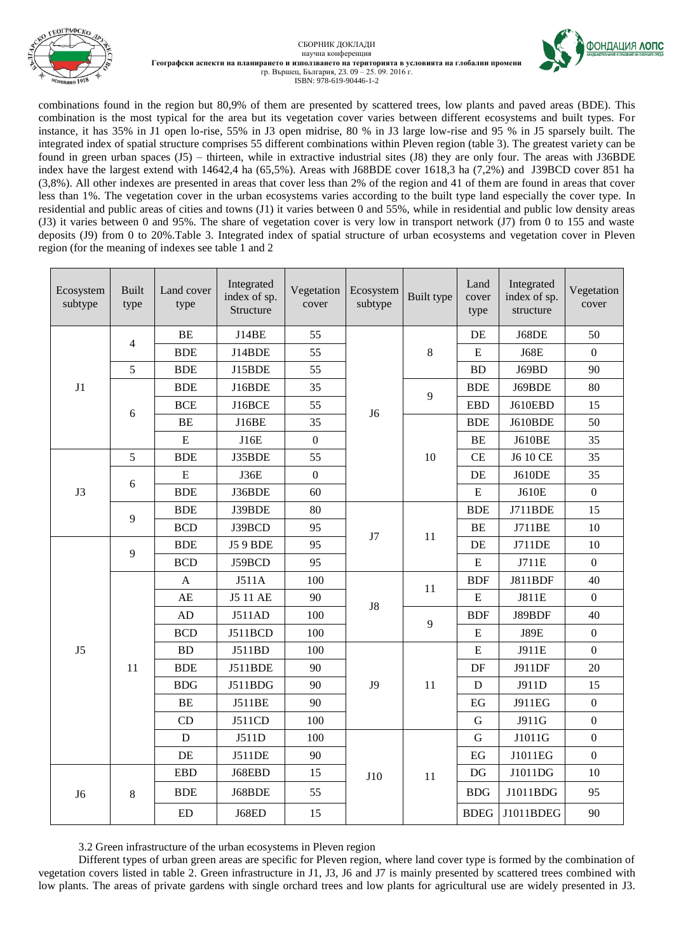



ООНДАЦИЯ ЛОПС

combinations found in the region but 80,9% of them are presented by scattered trees, low plants and paved areas (BDE). This combination is the most typical for the area but its vegetation cover varies between different ecosystems and built types. For instance, it has 35% in J1 open lo-rise, 55% in J3 open midrise, 80 % in J3 large low-rise and 95 % in J5 sparsely built. The integrated index of spatial structure comprises 55 different combinations within Pleven region (table 3). The greatest variety can be found in green urban spaces (J5) – thirteen, while in extractive industrial sites (J8) they are only four. The areas with J36BDE index have the largest extend with 14642,4 ha (65,5%). Areas with J68BDE cover 1618,3 ha (7,2%) and J39BCD cover 851 ha (3,8%). All other indexes are presented in areas that cover less than 2% of the region and 41 of them are found in areas that cover less than 1%. The vegetation cover in the urban ecosystems varies according to the built type land especially the cover type. In residential and public areas of cities and towns (J1) it varies between 0 and 55%, while in residential and public low density areas (J3) it varies between 0 and 95%. The share of vegetation cover is very low in transport network (J7) from 0 to 155 and waste deposits (J9) from 0 to 20%.Table 3. Integrated index of spatial structure of urban ecosystems and vegetation cover in Pleven region (for the meaning of indexes see table 1 and 2

| Ecosystem<br>subtype | <b>Built</b><br>type | Land cover<br>type | Integrated<br>index of sp.<br>Structure | Vegetation<br>cover | Ecosystem<br>subtype | Built type | Land<br>cover<br>type  | Integrated<br>index of sp.<br>structure | Vegetation<br>cover |
|----------------------|----------------------|--------------------|-----------------------------------------|---------------------|----------------------|------------|------------------------|-----------------------------------------|---------------------|
|                      | 4                    | <b>BE</b>          | <b>J14BE</b>                            | 55                  |                      |            | DE                     | J68DE                                   | 50                  |
|                      |                      | <b>BDE</b>         | J14BDE                                  | 55                  |                      | 8          | $\mathbf E$            | <b>J68E</b>                             | $\mathbf{0}$        |
|                      | 5                    | <b>BDE</b>         | J15BDE                                  | 55                  |                      |            | <b>BD</b>              | J69BD                                   | 90                  |
| J1                   |                      | <b>BDE</b>         | J16BDE                                  | 35                  |                      | 9          | <b>BDE</b>             | J69BDE                                  | 80                  |
|                      | 6                    | <b>BCE</b>         | J16BCE                                  | 55                  | J <sub>6</sub>       |            | <b>EBD</b>             | J610EBD                                 | 15                  |
|                      |                      | <b>BE</b>          | J16BE                                   | 35                  |                      |            | <b>BDE</b>             | J610BDE                                 | 50                  |
|                      |                      | ${\bf E}$          | J16E                                    | $\boldsymbol{0}$    |                      |            | <b>BE</b>              | <b>J610BE</b>                           | 35                  |
|                      | 5                    | <b>BDE</b>         | J35BDE                                  | 55                  |                      | 10         | <b>CE</b>              | J6 10 CE                                | 35                  |
|                      | 6                    | $\overline{E}$     | <b>J36E</b>                             | $\overline{0}$      |                      |            | DE                     | <b>J610DE</b>                           | 35                  |
| J3                   |                      | <b>BDE</b>         | J36BDE                                  | 60                  |                      |            | ${\bf E}$              | J610E                                   | $\mathbf{0}$        |
|                      | 9                    | <b>BDE</b>         | J39BDE                                  | 80                  | J7                   |            | <b>BDE</b>             | J711BDE                                 | 15                  |
|                      |                      | <b>BCD</b>         | J39BCD                                  | 95                  |                      | 11         | <b>BE</b>              | J711BE                                  | 10                  |
|                      | 9                    | <b>BDE</b>         | <b>J59 BDE</b>                          | 95                  |                      |            | DE                     | <b>J711DE</b>                           | 10                  |
|                      |                      | <b>BCD</b>         | J59BCD                                  | 95                  |                      |            | ${\bf E}$              | J711E                                   | $\boldsymbol{0}$    |
|                      | 11                   | A                  | J511A                                   | 100                 | J8                   | 11         | <b>BDF</b>             | J811BDF                                 | 40                  |
|                      |                      | AE                 | J5 11 AE                                | 90                  |                      |            | E                      | <b>J811E</b>                            | $\boldsymbol{0}$    |
|                      |                      | AD                 | J511AD                                  | 100                 |                      | 9          | <b>BDF</b>             | J89BDF                                  | 40                  |
|                      |                      | <b>BCD</b>         | J511BCD                                 | 100                 |                      |            | E                      | <b>J89E</b>                             | $\mathbf{0}$        |
| J <sub>5</sub>       |                      | <b>BD</b>          | J511BD                                  | 100                 |                      |            | ${\bf E}$              | J911E                                   | $\boldsymbol{0}$    |
|                      |                      | <b>BDE</b>         | <b>J511BDE</b>                          | 90                  | J9                   | 11         | DF                     | J911DF                                  | 20                  |
|                      |                      | <b>BDG</b>         | J511BDG                                 | 90                  |                      |            | D                      | J911D                                   | 15                  |
|                      |                      | <b>BE</b>          | J511BE                                  | 90                  |                      |            | EG                     | <b>J911EG</b>                           | $\mathbf{0}$        |
|                      |                      | CD                 | J511CD                                  | 100                 |                      |            | $\mathbf G$            | J911G                                   | $\mathbf{0}$        |
|                      |                      | D                  | J511D                                   | 100                 | J10                  | 11         | $\mathbf G$            | J1011G                                  | $\mathbf{0}$        |
|                      |                      | DE                 | <b>J511DE</b>                           | 90                  |                      |            | EG                     | J1011EG                                 | $\boldsymbol{0}$    |
|                      | 8                    | <b>EBD</b>         | J68EBD                                  | 15                  |                      |            | $\mathbf{D}\mathbf{G}$ | J1011DG                                 | 10                  |
| J <sub>6</sub>       |                      | <b>BDE</b>         | J68BDE                                  | 55                  |                      |            | <b>BDG</b>             | J1011BDG                                | 95                  |
|                      |                      | <b>ED</b>          | J68ED                                   | 15                  |                      |            | <b>BDEG</b>            | J1011BDEG                               | 90                  |

3.2 Green infrastructure of the urban ecosystems in Pleven region

Different types of urban green areas are specific for Pleven region, where land cover type is formed by the combination of vegetation covers listed in table 2. Green infrastructure in J1, J3, J6 and J7 is mainly presented by scattered trees combined with low plants. The areas of private gardens with single orchard trees and low plants for agricultural use are widely presented in J3.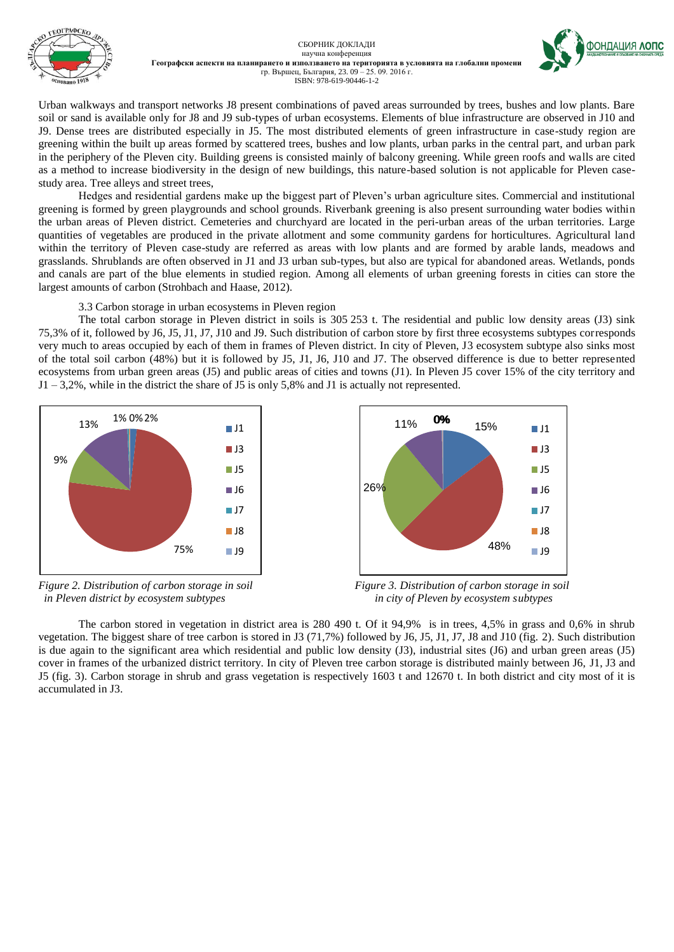

СБОРНИК ДОКЛАДИ научна конференция **Географски аспекти на планирането и използването на територията в условията на глобални промени** гр. Вършец, България, 23. 09 – 25. 09. 2016 г. ISBN: 978-619-90446-1-2



Urban walkways and transport networks J8 present combinations of paved areas surrounded by trees, bushes and low plants. Bare soil or sand is available only for J8 and J9 sub-types of urban ecosystems. Elements of blue infrastructure are observed in J10 and J9. Dense trees are distributed especially in J5. The most distributed elements of green infrastructure in case-study region are greening within the built up areas formed by scattered trees, bushes and low plants, urban parks in the central part, and urban park in the periphery of the Pleven city. Building greens is consisted mainly of balcony greening. While green roofs and walls are cited as a method to increase biodiversity in the design of new buildings, this nature-based solution is not applicable for Pleven casestudy area. Tree alleys and street trees,

Hedges and residential gardens make up the biggest part of Pleven's urban agriculture sites. Commercial and institutional greening is formed by green playgrounds and school grounds. Riverbank greening is also present surrounding water bodies within the urban areas of Pleven district. Cemeteries and churchyard are located in the peri-urban areas of the urban territories. Large quantities of vegetables are produced in the private allotment and some community gardens for horticultures. Agricultural land within the territory of Pleven case-study are referred as areas with low plants and are formed by arable lands, meadows and grasslands. Shrublands are often observed in J1 and J3 urban sub-types, but also are typical for abandoned areas. Wetlands, ponds and canals are part of the blue elements in studied region. Among all elements of urban greening forests in cities can store the largest amounts of carbon (Strohbach and Haase, 2012).

3.3 Carbon storage in urban ecosystems in Pleven region

The total carbon storage in Pleven district in soils is 305 253 t. The residential and public low density areas (J3) sink 75,3% of it, followed by J6, J5, J1, J7, J10 and J9. Such distribution of carbon store by first three ecosystems subtypes corresponds very much to areas occupied by each of them in frames of Pleven district. In city of Pleven, J3 ecosystem subtype also sinks most of the total soil carbon (48%) but it is followed by J5, J1, J6, J10 and J7. The observed difference is due to better represented ecosystems from urban green areas (J5) and public areas of cities and towns (J1). In Pleven J5 cover 15% of the city territory and  $J1 - 3.2\%$ , while in the district the share of J5 is only 5,8% and J1 is actually not represented.



 *in Pleven district by ecosystem subtypes in city of Pleven by ecosystem subtypes*



*Figure 2. Distribution of carbon storage in soil* Figure 3. Distribution of carbon storage in soil

The carbon stored in vegetation in district area is 280 490 t. Of it 94,9% is in trees, 4,5% in grass and 0,6% in shrub vegetation. The biggest share of tree carbon is stored in J3 (71,7%) followed by J6, J5, J1, J7, J8 and J10 (fig. 2). Such distribution is due again to the significant area which residential and public low density (J3), industrial sites (J6) and urban green areas (J5) cover in frames of the urbanized district territory. In city of Pleven tree carbon storage is distributed mainly between J6, J1, J3 and J5 (fig. 3). Carbon storage in shrub and grass vegetation is respectively 1603 t and 12670 t. In both district and city most of it is accumulated in J3.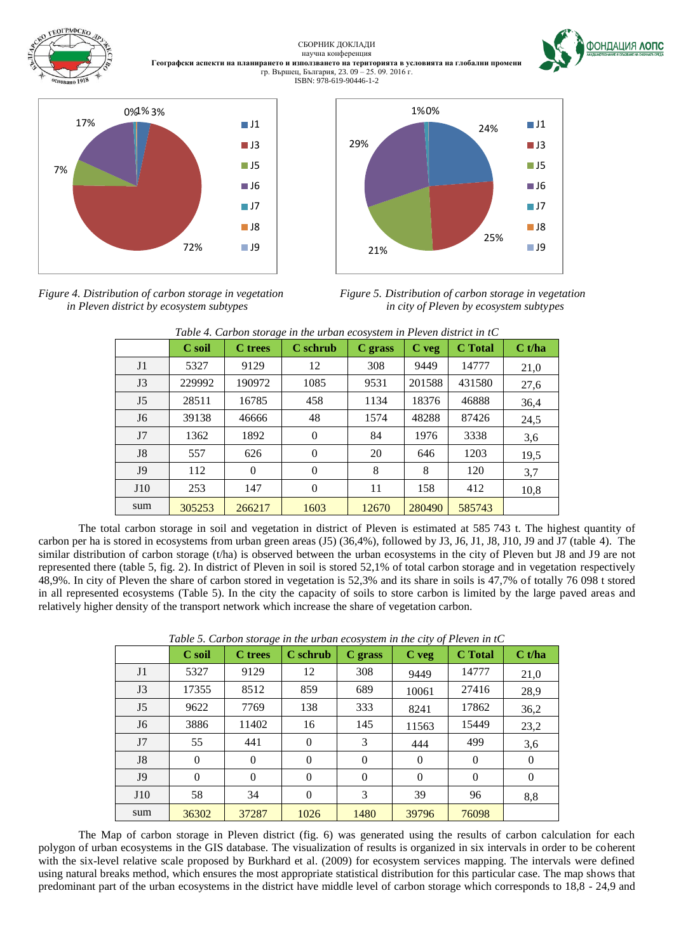

*Figure 4. Distribution of carbon storage in vegetation Figure 5. Distribution of carbon storage in vegetation*



**OOH TALLAR AONC** 

 *in Pleven district by ecosystem subtypes in city of Pleven by ecosystem subtypes*

|                | C soil | <b>C</b> trees | C schrub     | C grass | $C$ veg | <b>C</b> Total | C t/ha |
|----------------|--------|----------------|--------------|---------|---------|----------------|--------|
| J <sub>1</sub> | 5327   | 9129           | 12           | 308     | 9449    | 14777          | 21,0   |
| J3             | 229992 | 190972         | 1085         | 9531    | 201588  | 431580         | 27,6   |
| J <sub>5</sub> | 28511  | 16785          | 458          | 1134    | 18376   | 46888          | 36,4   |
| J <sub>6</sub> | 39138  | 46666          | 48           | 1574    | 48288   | 87426          | 24,5   |
| J7             | 1362   | 1892           | $\Omega$     | 84      | 1976    | 3338           | 3,6    |
| J <sub>8</sub> | 557    | 626            | $\Omega$     | 20      | 646     | 1203           | 19,5   |
| J <sub>9</sub> | 112    | $\Omega$       | $\Omega$     | 8       | 8       | 120            | 3,7    |
| J10            | 253    | 147            | $\mathbf{0}$ | 11      | 158     | 412            | 10,8   |
| sum            | 305253 | 266217         | 1603         | 12670   | 280490  | 585743         |        |

*Table 4. Carbon storage in the urban ecosystem in Pleven district in tC*

The total carbon storage in soil and vegetation in district of Pleven is estimated at 585 743 t. The highest quantity of carbon per ha is stored in ecosystems from urban green areas (J5) (36,4%), followed by J3, J6, J1, J8, J10, J9 and J7 (table 4). The similar distribution of carbon storage (t/ha) is observed between the urban ecosystems in the city of Pleven but J8 and J9 are not represented there (table 5, fig. 2). In district of Pleven in soil is stored 52,1% of total carbon storage and in vegetation respectively 48,9%. In city of Pleven the share of carbon stored in vegetation is 52,3% and its share in soils is 47,7% of totally 76 098 t stored in all represented ecosystems (Table 5). In the city the capacity of soils to store carbon is limited by the large paved areas and relatively higher density of the transport network which increase the share of vegetation carbon.

|                | C soil   | <b>C</b> trees | C schrub | C grass  | $C$ veg  | <b>C</b> Total | C t/ha       |
|----------------|----------|----------------|----------|----------|----------|----------------|--------------|
| J <sub>1</sub> | 5327     | 9129           | 12       | 308      | 9449     | 14777          | 21,0         |
| J <sub>3</sub> | 17355    | 8512           | 859      | 689      | 10061    | 27416          | 28,9         |
| J <sub>5</sub> | 9622     | 7769           | 138      | 333      | 8241     | 17862          | 36,2         |
| J <sub>6</sub> | 3886     | 11402          | 16       | 145      | 11563    | 15449          | 23,2         |
| J7             | 55       | 441            | $\Omega$ | 3        | 444      | 499            | 3,6          |
| J <sub>8</sub> | $\Omega$ | $\theta$       | $\Omega$ | $\Omega$ | $\Omega$ | $\Omega$       | $\mathbf{0}$ |
| J <sub>9</sub> | $\Omega$ | $\Omega$       | $\Omega$ | $\Omega$ | $\Omega$ | $\Omega$       | $\mathbf{0}$ |
| J10            | 58       | 34             | $\theta$ | 3        | 39       | 96             | 8,8          |
| sum            | 36302    | 37287          | 1026     | 1480     | 39796    | 76098          |              |

*Table 5. Carbon storage in the urban ecosystem in the city of Pleven in tC*

The Map of carbon storage in Pleven district (fig. 6) was generated using the results of carbon calculation for each polygon of urban ecosystems in the GIS database. The visualization of results is organized in six intervals in order to be coherent with the six-level relative scale proposed by Burkhard et al. (2009) for ecosystem services mapping. The intervals were defined using natural breaks method, which ensures the most appropriate statistical distribution for this particular case. The map shows that predominant part of the urban ecosystems in the district have middle level of carbon storage which corresponds to 18,8 - 24,9 and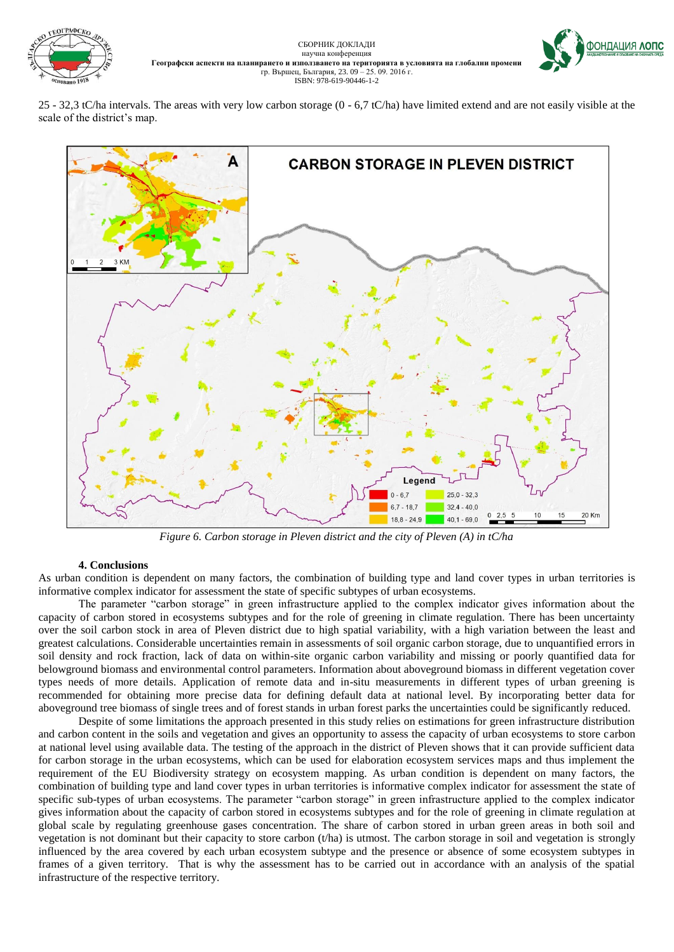





25 - 32,3 tC/ha intervals. The areas with very low carbon storage (0 - 6,7 tC/ha) have limited extend and are not easily visible at the scale of the district's map.



*Figure 6. Carbon storage in Pleven district and the city of Pleven (A) in tC/ha*

# **4. Conclusions**

As urban condition is dependent on many factors, the combination of building type and land cover types in urban territories is informative complex indicator for assessment the state of specific subtypes of urban ecosystems.

The parameter "carbon storage" in green infrastructure applied to the complex indicator gives information about the capacity of carbon stored in ecosystems subtypes and for the role of greening in climate regulation. There has been uncertainty over the soil carbon stock in area of Pleven district due to high spatial variability, with a high variation between the least and greatest calculations. Considerable uncertainties remain in assessments of soil organic carbon storage, due to unquantified errors in soil density and rock fraction, lack of data on within-site organic carbon variability and missing or poorly quantified data for belowground biomass and environmental control parameters. Information about aboveground biomass in different vegetation cover types needs of more details. Application of remote data and in-situ measurements in different types of urban greening is recommended for obtaining more precise data for defining default data at national level. By incorporating better data for aboveground tree biomass of single trees and of forest stands in urban forest parks the uncertainties could be significantly reduced.

Despite of some limitations the approach presented in this study relies on estimations for green infrastructure distribution and carbon content in the soils and vegetation and gives an opportunity to assess the capacity of urban ecosystems to store carbon at national level using available data. The testing of the approach in the district of Pleven shows that it can provide sufficient data for carbon storage in the urban ecosystems, which can be used for elaboration ecosystem services maps and thus implement the requirement of the EU Biodiversity strategy on ecosystem mapping. As urban condition is dependent on many factors, the combination of building type and land cover types in urban territories is informative complex indicator for assessment the state of specific sub-types of urban ecosystems. The parameter "carbon storage" in green infrastructure applied to the complex indicator gives information about the capacity of carbon stored in ecosystems subtypes and for the role of greening in climate regulation at global scale by regulating greenhouse gases concentration. The share of carbon stored in urban green areas in both soil and vegetation is not dominant but their capacity to store carbon (t/ha) is utmost. The carbon storage in soil and vegetation is strongly influenced by the area covered by each urban ecosystem subtype and the presence or absence of some ecosystem subtypes in frames of a given territory. That is why the assessment has to be carried out in accordance with an analysis of the spatial infrastructure of the respective territory.